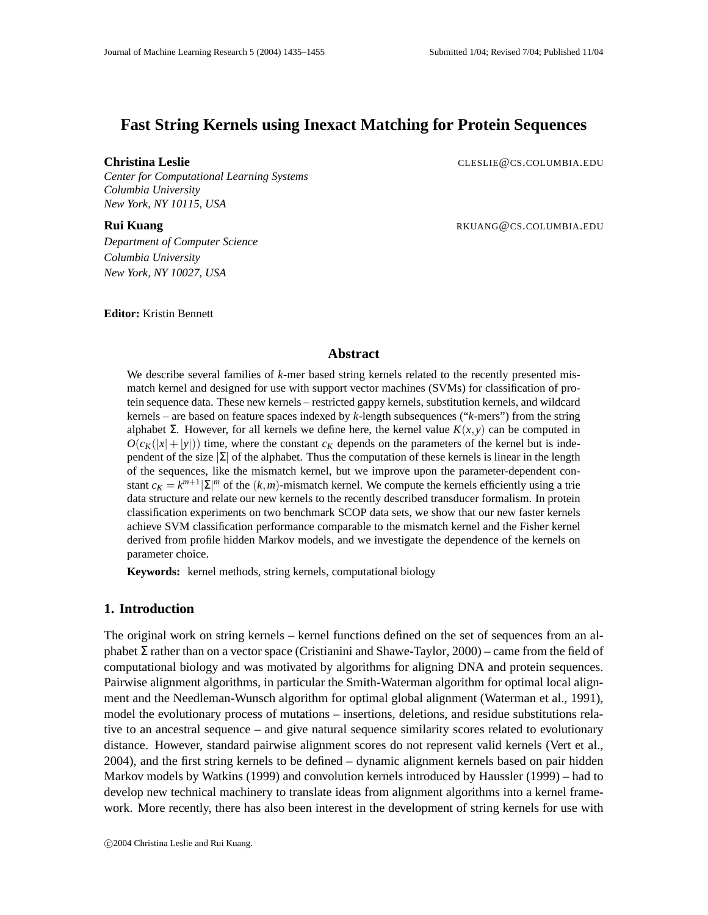# **Fast String Kernels using Inexact Matching for Protein Sequences**

*Center for Computational Learning Systems Columbia University New York, NY 10115, USA*

**Christina Leslie** CLESLIE@CS.COLUMBIA.EDU

**Rui Kuang** Research Communication of the RKUANG CS.COLUMBIA.EDU

*Department of Computer Science Columbia University New York, NY 10027, USA*

**Editor:** Kristin Bennett

# **Abstract**

We describe several families of *k*-mer based string kernels related to the recently presented mismatch kernel and designed for use with support vector machines (SVMs) for classification of protein sequence data. These new kernels – restricted gappy kernels, substitution kernels, and wildcard kernels – are based on feature spaces indexed by *k*-length subsequences ("*k*-mers") from the string alphabet Σ. However, for all kernels we define here, the kernel value  $K(x, y)$  can be computed in  $O(c_K(|x|+|y|))$  time, where the constant  $c_K$  depends on the parameters of the kernel but is independent of the size  $|\Sigma|$  of the alphabet. Thus the computation of these kernels is linear in the length of the sequences, like the mismatch kernel, but we improve upon the parameter-dependent constant  $c_K = k^{m+1} |\Sigma|^m$  of the  $(k,m)$ -mismatch kernel. We compute the kernels efficiently using a trie data structure and relate our new kernels to the recently described transducer formalism. In protein classification experiments on two benchmark SCOP data sets, we show that our new faster kernels achieve SVM classification performance comparable to the mismatch kernel and the Fisher kernel derived from profile hidden Markov models, and we investigate the dependence of the kernels on parameter choice.

**Keywords:** kernel methods, string kernels, computational biology

# **1. Introduction**

The original work on string kernels – kernel functions defined on the set of sequences from an alphabet  $\Sigma$  rather than on a vector space (Cristianini and Shawe-Taylor, 2000) – came from the field of computational biology and was motivated by algorithms for aligning DNA and protein sequences. Pairwise alignment algorithms, in particular the Smith-Waterman algorithm for optimal local alignment and the Needleman-Wunsch algorithm for optimal global alignment (Waterman et al., 1991), model the evolutionary process of mutations – insertions, deletions, and residue substitutions relative to an ancestral sequence – and give natural sequence similarity scores related to evolutionary distance. However, standard pairwise alignment scores do not represent valid kernels (Vert et al., 2004), and the first string kernels to be defined – dynamic alignment kernels based on pair hidden Markov models by Watkins (1999) and convolution kernels introduced by Haussler (1999) – had to develop new technical machinery to translate ideas from alignment algorithms into a kernel framework. More recently, there has also been interest in the development of string kernels for use with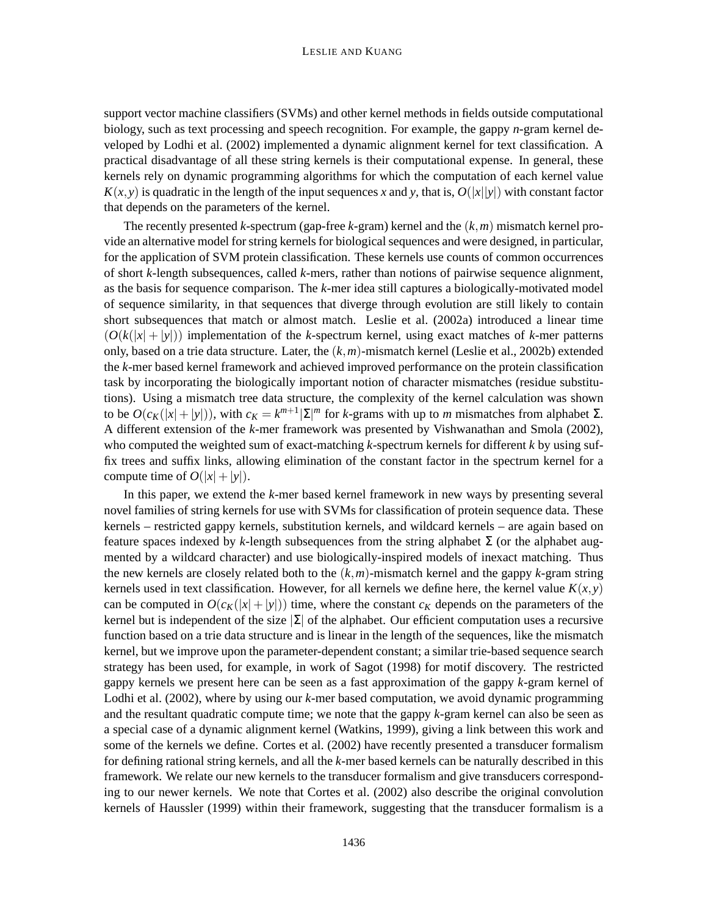support vector machine classifiers (SVMs) and other kernel methods in fields outside computational biology, such as text processing and speech recognition. For example, the gappy *n*-gram kernel developed by Lodhi et al. (2002) implemented a dynamic alignment kernel for text classification. A practical disadvantage of all these string kernels is their computational expense. In general, these kernels rely on dynamic programming algorithms for which the computation of each kernel value  $K(x, y)$  is quadratic in the length of the input sequences *x* and *y*, that is,  $O(|x||y|)$  with constant factor that depends on the parameters of the kernel.

The recently presented *k*-spectrum (gap-free *k*-gram) kernel and the (*k*,*m*) mismatch kernel provide an alternative model for string kernels for biological sequences and were designed, in particular, for the application of SVM protein classification. These kernels use counts of common occurrences of short *k*-length subsequences, called *k*-mers, rather than notions of pairwise sequence alignment, as the basis for sequence comparison. The *k*-mer idea still captures a biologically-motivated model of sequence similarity, in that sequences that diverge through evolution are still likely to contain short subsequences that match or almost match. Leslie et al. (2002a) introduced a linear time  $(O(k(|x| + |y|))$  implementation of the *k*-spectrum kernel, using exact matches of *k*-mer patterns only, based on a trie data structure. Later, the (*k*,*m*)-mismatch kernel (Leslie et al., 2002b) extended the *k*-mer based kernel framework and achieved improved performance on the protein classification task by incorporating the biologically important notion of character mismatches (residue substitutions). Using a mismatch tree data structure, the complexity of the kernel calculation was shown to be  $O(c_K(|x|+|y|))$ , with  $c_K = k^{m+1} |\Sigma|^m$  for *k*-grams with up to *m* mismatches from alphabet Σ. A different extension of the *k*-mer framework was presented by Vishwanathan and Smola (2002), who computed the weighted sum of exact-matching *k*-spectrum kernels for different *k* by using suffix trees and suffix links, allowing elimination of the constant factor in the spectrum kernel for a compute time of  $O(|x|+|y|)$ .

In this paper, we extend the *k*-mer based kernel framework in new ways by presenting several novel families of string kernels for use with SVMs for classification of protein sequence data. These kernels – restricted gappy kernels, substitution kernels, and wildcard kernels – are again based on feature spaces indexed by *k*-length subsequences from the string alphabet Σ (or the alphabet augmented by a wildcard character) and use biologically-inspired models of inexact matching. Thus the new kernels are closely related both to the (*k*,*m*)-mismatch kernel and the gappy *k*-gram string kernels used in text classification. However, for all kernels we define here, the kernel value  $K(x, y)$ can be computed in  $O(c_K(|x|+|y|))$  time, where the constant  $c_K$  depends on the parameters of the kernel but is independent of the size  $|\Sigma|$  of the alphabet. Our efficient computation uses a recursive function based on a trie data structure and is linear in the length of the sequences, like the mismatch kernel, but we improve upon the parameter-dependent constant; a similar trie-based sequence search strategy has been used, for example, in work of Sagot (1998) for motif discovery. The restricted gappy kernels we present here can be seen as a fast approximation of the gappy *k*-gram kernel of Lodhi et al. (2002), where by using our *k*-mer based computation, we avoid dynamic programming and the resultant quadratic compute time; we note that the gappy *k*-gram kernel can also be seen as a special case of a dynamic alignment kernel (Watkins, 1999), giving a link between this work and some of the kernels we define. Cortes et al. (2002) have recently presented a transducer formalism for defining rational string kernels, and all the *k*-mer based kernels can be naturally described in this framework. We relate our new kernels to the transducer formalism and give transducers corresponding to our newer kernels. We note that Cortes et al. (2002) also describe the original convolution kernels of Haussler (1999) within their framework, suggesting that the transducer formalism is a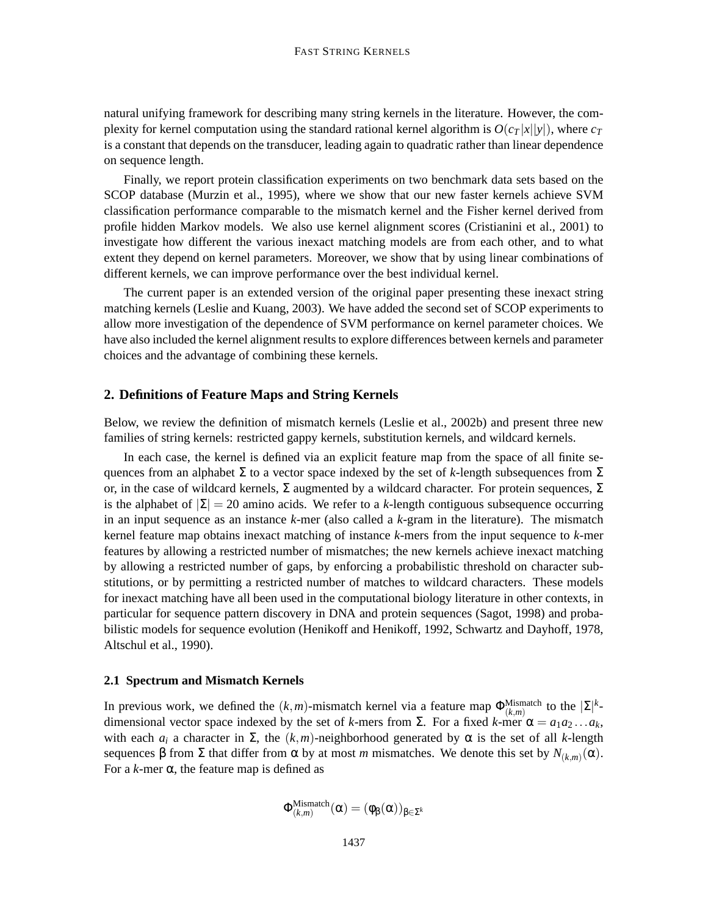natural unifying framework for describing many string kernels in the literature. However, the complexity for kernel computation using the standard rational kernel algorithm is  $O(c_T|x||y|)$ , where  $c_T$ is a constant that depends on the transducer, leading again to quadratic rather than linear dependence on sequence length.

Finally, we report protein classification experiments on two benchmark data sets based on the SCOP database (Murzin et al., 1995), where we show that our new faster kernels achieve SVM classification performance comparable to the mismatch kernel and the Fisher kernel derived from profile hidden Markov models. We also use kernel alignment scores (Cristianini et al., 2001) to investigate how different the various inexact matching models are from each other, and to what extent they depend on kernel parameters. Moreover, we show that by using linear combinations of different kernels, we can improve performance over the best individual kernel.

The current paper is an extended version of the original paper presenting these inexact string matching kernels (Leslie and Kuang, 2003). We have added the second set of SCOP experiments to allow more investigation of the dependence of SVM performance on kernel parameter choices. We have also included the kernel alignment results to explore differences between kernels and parameter choices and the advantage of combining these kernels.

## **2. Definitions of Feature Maps and String Kernels**

Below, we review the definition of mismatch kernels (Leslie et al., 2002b) and present three new families of string kernels: restricted gappy kernels, substitution kernels, and wildcard kernels.

In each case, the kernel is defined via an explicit feature map from the space of all finite sequences from an alphabet  $\Sigma$  to a vector space indexed by the set of *k*-length subsequences from  $\Sigma$ or, in the case of wildcard kernels,  $\Sigma$  augmented by a wildcard character. For protein sequences,  $\Sigma$ is the alphabet of  $|\Sigma| = 20$  amino acids. We refer to a *k*-length contiguous subsequence occurring in an input sequence as an instance *k*-mer (also called a *k*-gram in the literature). The mismatch kernel feature map obtains inexact matching of instance *k*-mers from the input sequence to *k*-mer features by allowing a restricted number of mismatches; the new kernels achieve inexact matching by allowing a restricted number of gaps, by enforcing a probabilistic threshold on character substitutions, or by permitting a restricted number of matches to wildcard characters. These models for inexact matching have all been used in the computational biology literature in other contexts, in particular for sequence pattern discovery in DNA and protein sequences (Sagot, 1998) and probabilistic models for sequence evolution (Henikoff and Henikoff, 1992, Schwartz and Dayhoff, 1978, Altschul et al., 1990).

## **2.1 Spectrum and Mismatch Kernels**

In previous work, we defined the  $(k,m)$ -mismatch kernel via a feature map  $\Phi_{(k,m)}^{\text{Mismatch}}$  to the  $|\Sigma|^k$ dimensional vector space indexed by the set of *k*-mers from  $\Sigma$ . For a fixed *k*-mer  $\alpha = a_1 a_2 \dots a_k$ , with each  $a_i$  a character in  $\Sigma$ , the  $(k,m)$ -neighborhood generated by  $\alpha$  is the set of all *k*-length sequences  $\beta$  from  $\Sigma$  that differ from  $\alpha$  by at most *m* mismatches. We denote this set by  $N_{(k,m)}(\alpha)$ . For a *k*-mer α, the feature map is defined as

$$
\Phi^{\text{Mismatch}}_{(k,m)}(\alpha) = (\phi_\beta(\alpha))_{\beta \in \Sigma^k}
$$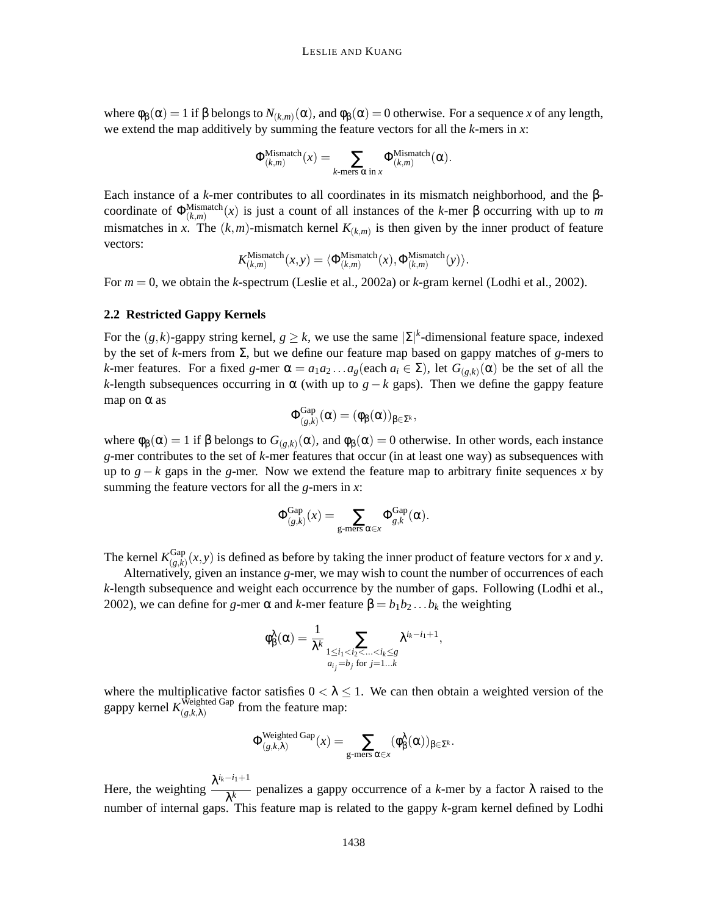where  $\phi_{\beta}(\alpha) = 1$  if  $\beta$  belongs to  $N_{(k,m)}(\alpha)$ , and  $\phi_{\beta}(\alpha) = 0$  otherwise. For a sequence *x* of any length, we extend the map additively by summing the feature vectors for all the *k*-mers in *x*:

$$
\Phi^{\text{Mismatch}}_{(k,m)}(x) = \sum_{k\text{-mers } \alpha \text{ in } x} \Phi^{\text{Mismatch}}_{(k,m)}(\alpha).
$$

Each instance of a *k*-mer contributes to all coordinates in its mismatch neighborhood, and the βcoordinate of  $\Phi_{(k,m)}^{\text{Mismatch}}(x)$  is just a count of all instances of the *k*-mer  $\beta$  occurring with up to *m* mismatches in *x*. The  $(k,m)$ -mismatch kernel  $K_{(k,m)}$  is then given by the inner product of feature vectors:

$$
K_{(k,m)}^{\text{Mismatch}}(x,y) = \langle \Phi_{(k,m)}^{\text{Mismatch}}(x), \Phi_{(k,m)}^{\text{Mismatch}}(y) \rangle.
$$

For *m* = 0, we obtain the *k*-spectrum (Leslie et al., 2002a) or *k*-gram kernel (Lodhi et al., 2002).

### **2.2 Restricted Gappy Kernels**

For the  $(g, k)$ -gappy string kernel,  $g \ge k$ , we use the same  $|\Sigma|^k$ -dimensional feature space, indexed by the set of *k*-mers from Σ, but we define our feature map based on gappy matches of *g*-mers to *k*-mer features. For a fixed *g*-mer  $\alpha = a_1 a_2 ... a_g$  (each  $a_i \in \Sigma$ ), let  $G_{(g,k)}(\alpha)$  be the set of all the *k*-length subsequences occurring in  $\alpha$  (with up to  $g - k$  gaps). Then we define the gappy feature map on  $\alpha$  as

$$
\Phi^{\text{Gap}}_{(g,k)}(\alpha)=(\varphi_\beta(\alpha))_{\beta\in\Sigma^k},
$$

where  $\phi_{\beta}(\alpha) = 1$  if  $\beta$  belongs to  $G_{(g,k)}(\alpha)$ , and  $\phi_{\beta}(\alpha) = 0$  otherwise. In other words, each instance *g*-mer contributes to the set of *k*-mer features that occur (in at least one way) as subsequences with up to  $g - k$  gaps in the g-mer. Now we extend the feature map to arbitrary finite sequences x by summing the feature vectors for all the *g*-mers in *x*:

$$
\Phi^{\text{Gap}}_{(g,k)}(x) = \sum_{g\text{-mers }\alpha \in x} \Phi^{\text{Gap}}_{g,k}(\alpha).
$$

The kernel  $K_{(a,k)}^{\text{Gap}}$  $\frac{\partial^{q} p}{\partial g(x)}(x, y)$  is defined as before by taking the inner product of feature vectors for *x* and *y*.

Alternatively, given an instance *g*-mer, we may wish to count the number of occurrences of each *k*-length subsequence and weight each occurrence by the number of gaps. Following (Lodhi et al., 2002), we can define for *g*-mer α and *k*-mer feature  $β = b_1b_2...b_k$  the weighting

$$
\varphi^{\lambda}_{\beta}(\alpha) = \frac{1}{\lambda^k} \sum_{\substack{1 \leq i_1 < i_2 < \ldots < i_k \leq g \\ a_{i_j} = b_j \text{ for } j = 1 \ldots k}} \lambda^{i_k - i_1 + 1},
$$

where the multiplicative factor satisfies  $0 < \lambda \le 1$ . We can then obtain a weighted version of the gappy kernel  $K_{(a,k)}^{\text{Weighted Gap}}$ Weighted Gap from the feature map:

$$
\Phi^{\text{Weighted Gap}}_{(g,k,\lambda)}(x)=\sum_{g\text{-mers }\alpha\in x}(\varphi^{\lambda}_\beta(\alpha))_{\beta\in\Sigma^k}.
$$

Here, the weighting  $\frac{\lambda^{i_k-i_1+1}}{2k_k}$  $\frac{\lambda}{\lambda}$  penalizes a gappy occurrence of a *k*-mer by a factor λ raised to the number of internal gaps. This feature map is related to the gappy *k*-gram kernel defined by Lodhi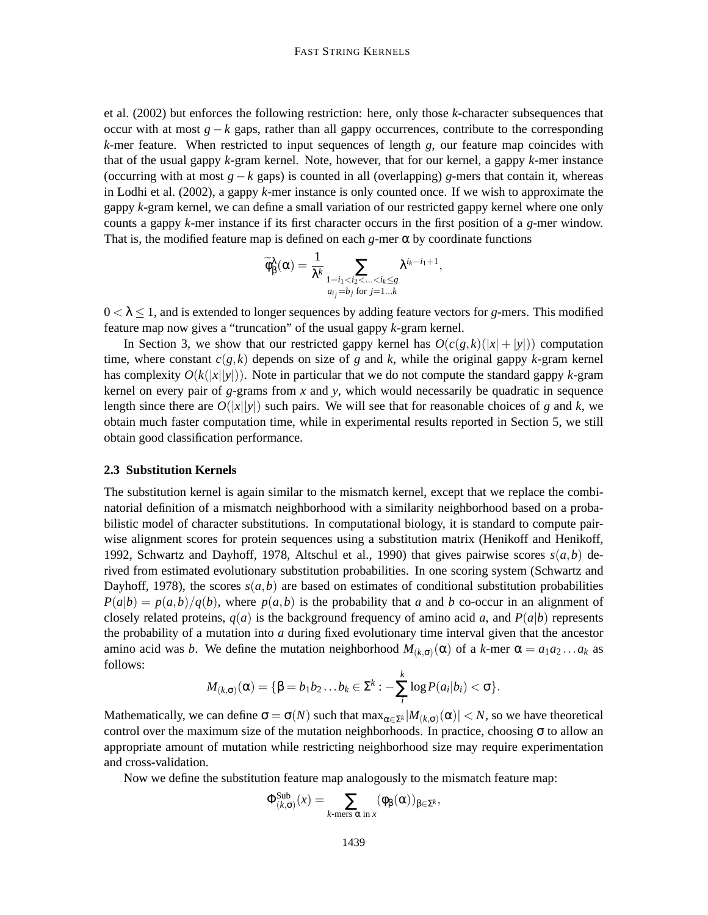et al. (2002) but enforces the following restriction: here, only those *k*-character subsequences that occur with at most  $g - k$  gaps, rather than all gappy occurrences, contribute to the corresponding *k*-mer feature. When restricted to input sequences of length *g*, our feature map coincides with that of the usual gappy *k*-gram kernel. Note, however, that for our kernel, a gappy *k*-mer instance (occurring with at most  $g - k$  gaps) is counted in all (overlapping)  $g$ -mers that contain it, whereas in Lodhi et al. (2002), a gappy *k*-mer instance is only counted once. If we wish to approximate the gappy *k*-gram kernel, we can define a small variation of our restricted gappy kernel where one only counts a gappy *k*-mer instance if its first character occurs in the first position of a *g*-mer window. That is, the modified feature map is defined on each  $g$ -mer  $\alpha$  by coordinate functions

$$
\widetilde{\phi}_{\beta}^{\lambda}(\alpha) = \frac{1}{\lambda^k} \sum_{\substack{1 = i_1 < i_2 < \ldots < i_k \le g \\ a_{i_j} = b_j \text{ for } j = 1 \ldots k}} \lambda^{i_k - i_1 + 1}
$$

,

 $0 < \lambda \leq 1$ , and is extended to longer sequences by adding feature vectors for *g*-mers. This modified feature map now gives a "truncation" of the usual gappy *k*-gram kernel.

In Section 3, we show that our restricted gappy kernel has  $O(c(g, k)(|x| + |y|))$  computation time, where constant  $c(g, k)$  depends on size of *g* and *k*, while the original gappy *k*-gram kernel has complexity  $O(k(|x||y|))$ . Note in particular that we do not compute the standard gappy *k*-gram kernel on every pair of *g*-grams from *x* and *y*, which would necessarily be quadratic in sequence length since there are  $O(|x||y|)$  such pairs. We will see that for reasonable choices of *g* and *k*, we obtain much faster computation time, while in experimental results reported in Section 5, we still obtain good classification performance.

## **2.3 Substitution Kernels**

The substitution kernel is again similar to the mismatch kernel, except that we replace the combinatorial definition of a mismatch neighborhood with a similarity neighborhood based on a probabilistic model of character substitutions. In computational biology, it is standard to compute pairwise alignment scores for protein sequences using a substitution matrix (Henikoff and Henikoff, 1992, Schwartz and Dayhoff, 1978, Altschul et al., 1990) that gives pairwise scores *s*(*a*,*b*) derived from estimated evolutionary substitution probabilities. In one scoring system (Schwartz and Dayhoff, 1978), the scores  $s(a,b)$  are based on estimates of conditional substitution probabilities  $P(a|b) = p(a,b)/q(b)$ , where  $p(a,b)$  is the probability that *a* and *b* co-occur in an alignment of closely related proteins,  $q(a)$  is the background frequency of amino acid *a*, and  $P(a|b)$  represents the probability of a mutation into *a* during fixed evolutionary time interval given that the ancestor amino acid was *b*. We define the mutation neighborhood  $M_{(k,\sigma)}(\alpha)$  of a *k*-mer  $\alpha = a_1 a_2 ... a_k$  as follows:

$$
M_{(k,\sigma)}(\alpha) = \{\beta = b_1b_2...b_k \in \Sigma^k : -\sum_i^k \log P(a_i|b_i) < \sigma\}.
$$

Mathematically, we can define  $\sigma = \sigma(N)$  such that  $\max_{\alpha \in \Sigma^k} |M_{(k,\sigma)}(\alpha)| < N$ , so we have theoretical control over the maximum size of the mutation neighborhoods. In practice, choosing  $\sigma$  to allow an appropriate amount of mutation while restricting neighborhood size may require experimentation and cross-validation.

Now we define the substitution feature map analogously to the mismatch feature map:

$$
\Phi^{\text{Sub}}_{(k,\sigma)}(x) = \sum_{k \text{-mers } \alpha \text{ in } x} (\phi_{\beta}(\alpha))_{\beta \in \Sigma^k},
$$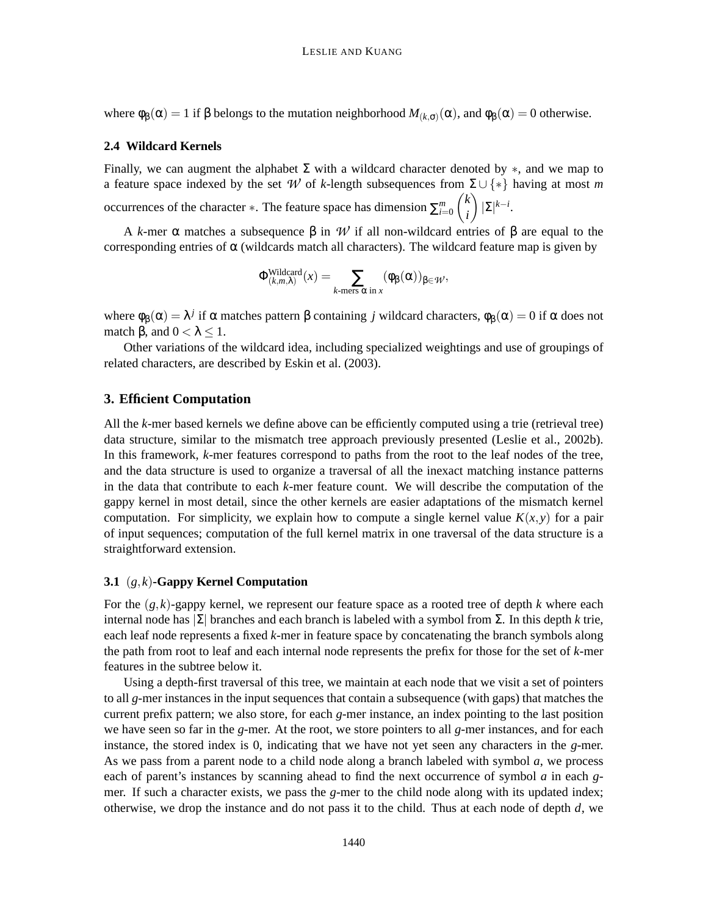where  $\phi_{\beta}(\alpha) = 1$  if  $\beta$  belongs to the mutation neighborhood  $M_{(k,\sigma)}(\alpha)$ , and  $\phi_{\beta}(\alpha) = 0$  otherwise.

### **2.4 Wildcard Kernels**

Finally, we can augment the alphabet  $\Sigma$  with a wildcard character denoted by  $*$ , and we map to a feature space indexed by the set W of k-length subsequences from  $\Sigma \cup \{*\}$  having at most m occurrences of the character  $*$ . The feature space has dimension  $\sum_{i=0}^{m}$  *k i*  $\overline{ }$  $|\Sigma|^{k-i}$ .

A *k*-mer  $\alpha$  matches a subsequence  $\beta$  in W if all non-wildcard entries of  $\beta$  are equal to the corresponding entries of  $\alpha$  (wildcards match all characters). The wildcard feature map is given by

$$
\Phi^{\text{Wildcard}}_{(k,m,\lambda)}(x) = \sum_{k\text{-mers } \alpha \text{ in } x} (\phi_{\beta}(\alpha))_{\beta \in \mathcal{W}},
$$

where  $\phi_\beta(\alpha) = \lambda^j$  if  $\alpha$  matches pattern  $\beta$  containing *j* wildcard characters,  $\phi_\beta(\alpha) = 0$  if  $\alpha$  does not match  $\beta$ , and  $0 < \lambda < 1$ .

Other variations of the wildcard idea, including specialized weightings and use of groupings of related characters, are described by Eskin et al. (2003).

# **3. Efficient Computation**

All the *k*-mer based kernels we define above can be efficiently computed using a trie (retrieval tree) data structure, similar to the mismatch tree approach previously presented (Leslie et al., 2002b). In this framework, *k*-mer features correspond to paths from the root to the leaf nodes of the tree, and the data structure is used to organize a traversal of all the inexact matching instance patterns in the data that contribute to each *k*-mer feature count. We will describe the computation of the gappy kernel in most detail, since the other kernels are easier adaptations of the mismatch kernel computation. For simplicity, we explain how to compute a single kernel value  $K(x, y)$  for a pair of input sequences; computation of the full kernel matrix in one traversal of the data structure is a straightforward extension.

### **3.1** (*g*, *k*)**-Gappy Kernel Computation**

For the (*g*, *k*)-gappy kernel, we represent our feature space as a rooted tree of depth *k* where each internal node has |Σ| branches and each branch is labeled with a symbol from Σ. In this depth *k* trie, each leaf node represents a fixed *k*-mer in feature space by concatenating the branch symbols along the path from root to leaf and each internal node represents the prefix for those for the set of *k*-mer features in the subtree below it.

Using a depth-first traversal of this tree, we maintain at each node that we visit a set of pointers to all *g*-mer instances in the input sequences that contain a subsequence (with gaps) that matches the current prefix pattern; we also store, for each *g*-mer instance, an index pointing to the last position we have seen so far in the *g*-mer. At the root, we store pointers to all *g*-mer instances, and for each instance, the stored index is 0, indicating that we have not yet seen any characters in the *g*-mer. As we pass from a parent node to a child node along a branch labeled with symbol *a*, we process each of parent's instances by scanning ahead to find the next occurrence of symbol *a* in each *g*mer. If such a character exists, we pass the *g*-mer to the child node along with its updated index; otherwise, we drop the instance and do not pass it to the child. Thus at each node of depth *d*, we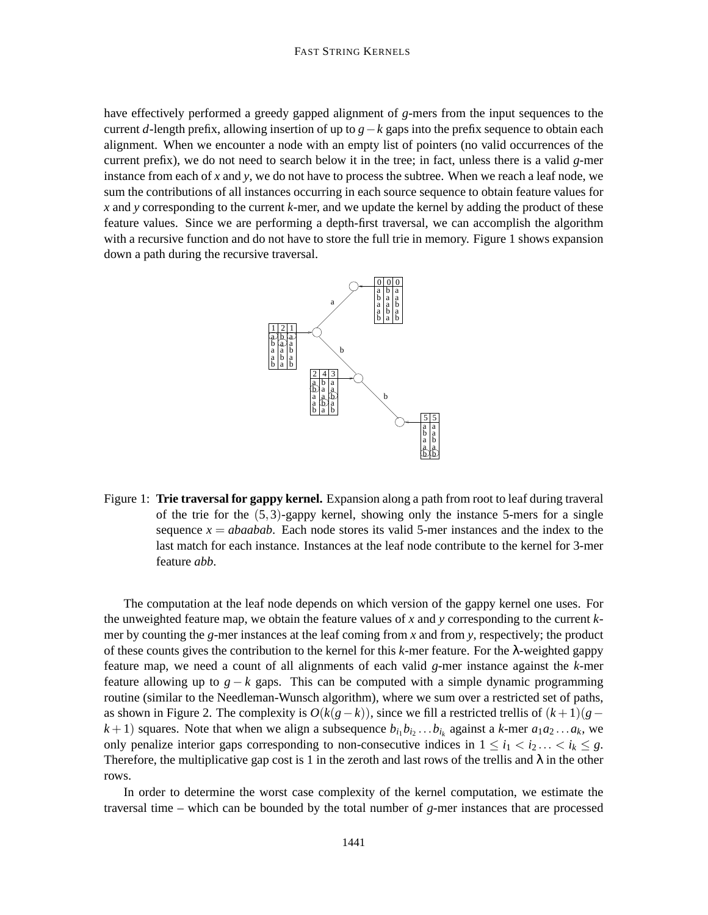have effectively performed a greedy gapped alignment of *g*-mers from the input sequences to the current *d*-length prefix, allowing insertion of up to *g*−*k* gaps into the prefix sequence to obtain each alignment. When we encounter a node with an empty list of pointers (no valid occurrences of the current prefix), we do not need to search below it in the tree; in fact, unless there is a valid *g*-mer instance from each of *x* and *y*, we do not have to process the subtree. When we reach a leaf node, we sum the contributions of all instances occurring in each source sequence to obtain feature values for *x* and *y* corresponding to the current *k*-mer, and we update the kernel by adding the product of these feature values. Since we are performing a depth-first traversal, we can accomplish the algorithm with a recursive function and do not have to store the full trie in memory. Figure 1 shows expansion down a path during the recursive traversal.



Figure 1: **Trie traversal for gappy kernel.** Expansion along a path from root to leaf during traveral of the trie for the  $(5,3)$ -gappy kernel, showing only the instance 5-mers for a single sequence  $x = abaabab$ . Each node stores its valid 5-mer instances and the index to the last match for each instance. Instances at the leaf node contribute to the kernel for 3-mer feature *abb*.

The computation at the leaf node depends on which version of the gappy kernel one uses. For the unweighted feature map, we obtain the feature values of *x* and *y* corresponding to the current *k*mer by counting the *g*-mer instances at the leaf coming from *x* and from *y*, respectively; the product of these counts gives the contribution to the kernel for this *k*-mer feature. For the λ-weighted gappy feature map, we need a count of all alignments of each valid *g*-mer instance against the *k*-mer feature allowing up to  $g - k$  gaps. This can be computed with a simple dynamic programming routine (similar to the Needleman-Wunsch algorithm), where we sum over a restricted set of paths, as shown in Figure 2. The complexity is  $O(k(g-k))$ , since we fill a restricted trellis of  $(k+1)(g-k)$  $(k+1)$  squares. Note that when we align a subsequence  $b_{i_1}b_{i_2} \ldots b_{i_k}$  against a  $k$ -mer  $a_1a_2 \ldots a_k$ , we only penalize interior gaps corresponding to non-consecutive indices in  $1 \le i_1 < i_2 \ldots < i_k \le g$ . Therefore, the multiplicative gap cost is 1 in the zeroth and last rows of the trellis and  $\lambda$  in the other rows.

In order to determine the worst case complexity of the kernel computation, we estimate the traversal time – which can be bounded by the total number of *g*-mer instances that are processed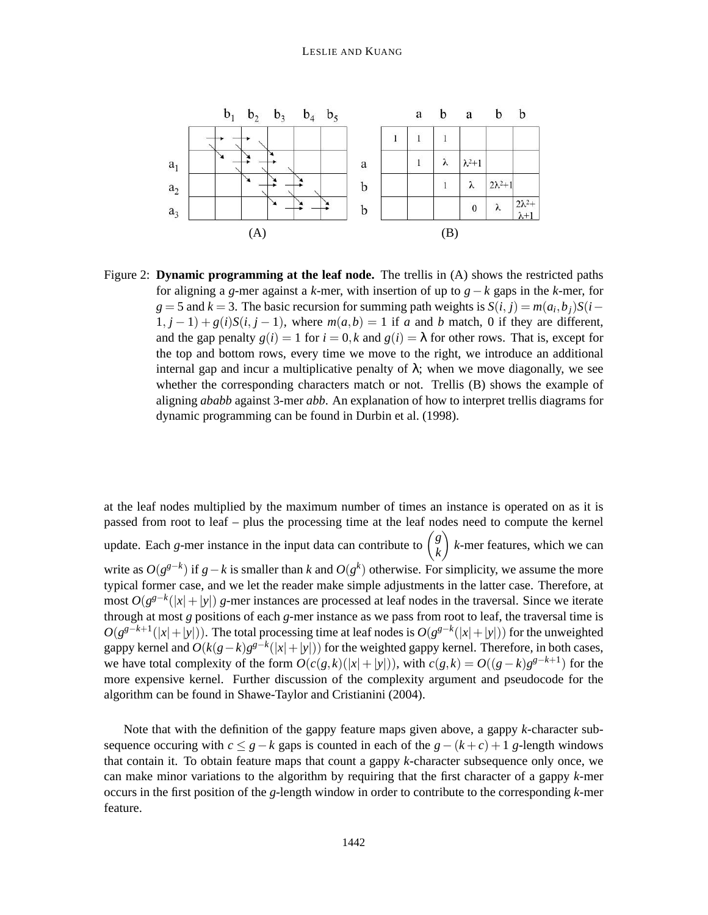

Figure 2: **Dynamic programming at the leaf node.** The trellis in (A) shows the restricted paths for aligning a *g*-mer against a *k*-mer, with insertion of up to *g*−*k* gaps in the *k*-mer, for  $g = 5$  and  $k = 3$ . The basic recursion for summing path weights is  $S(i, j) = m(a_i, b_j)S(i - j)$  $1, j - 1$  +  $g(i)S(i, j - 1)$ , where  $m(a, b) = 1$  if *a* and *b* match, 0 if they are different, and the gap penalty  $g(i) = 1$  for  $i = 0, k$  and  $g(i) = \lambda$  for other rows. That is, except for the top and bottom rows, every time we move to the right, we introduce an additional internal gap and incur a multiplicative penalty of  $\lambda$ ; when we move diagonally, we see whether the corresponding characters match or not. Trellis (B) shows the example of aligning *ababb* against 3-mer *abb*. An explanation of how to interpret trellis diagrams for dynamic programming can be found in Durbin et al. (1998).

at the leaf nodes multiplied by the maximum number of times an instance is operated on as it is passed from root to leaf – plus the processing time at the leaf nodes need to compute the kernel update. Each *<sup>g</sup>*-mer instance in the input data can contribute to *g k*  $\overline{ }$ *k*-mer features, which we can write as  $O(g^{g-k})$  if  $g-k$  is smaller than  $k$  and  $O(g^k)$  otherwise. For simplicity, we assume the more typical former case, and we let the reader make simple adjustments in the latter case. Therefore, at most  $O(g^{g-k}(|x|+|y|)$  *g*-mer instances are processed at leaf nodes in the traversal. Since we iterate through at most *g* positions of each *g*-mer instance as we pass from root to leaf, the traversal time is  $O(g^{g-k+1}(|x|+|y|))$ . The total processing time at leaf nodes is  $O(g^{g-k}(|x|+|y|))$  for the unweighted gappy kernel and  $O(k(g-k)g^{g-k}(|x|+|y|))$  for the weighted gappy kernel. Therefore, in both cases, we have total complexity of the form  $O(c(g, k)(|x| + |y|))$ , with  $c(g, k) = O((g - k)g^{g-k+1})$  for the more expensive kernel. Further discussion of the complexity argument and pseudocode for the algorithm can be found in Shawe-Taylor and Cristianini (2004).

Note that with the definition of the gappy feature maps given above, a gappy *k*-character subsequence occuring with  $c \leq g - k$  gaps is counted in each of the  $g - (k + c) + 1$  g-length windows that contain it. To obtain feature maps that count a gappy *k*-character subsequence only once, we can make minor variations to the algorithm by requiring that the first character of a gappy *k*-mer occurs in the first position of the *g*-length window in order to contribute to the corresponding *k*-mer feature.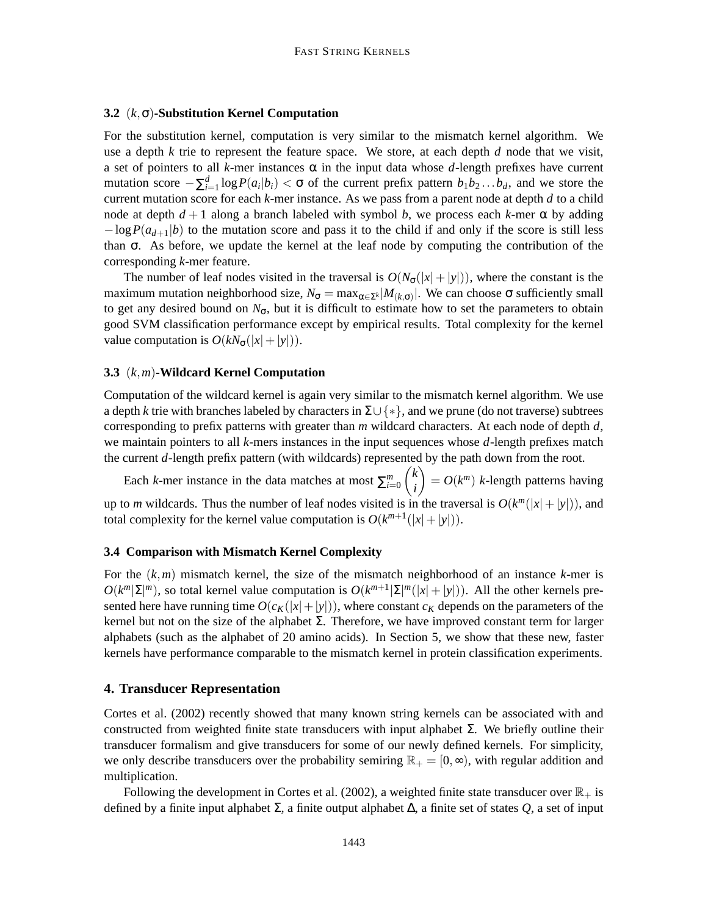## **3.2** (*k*,σ)**-Substitution Kernel Computation**

For the substitution kernel, computation is very similar to the mismatch kernel algorithm. We use a depth *k* trie to represent the feature space. We store, at each depth *d* node that we visit, a set of pointers to all *k*-mer instances α in the input data whose *d*-length prefixes have current mutation score  $-\sum_{i=1}^{d} \log P(a_i|b_i) < \sigma$  of the current prefix pattern  $b_1b_2...b_d$ , and we store the current mutation score for each *k*-mer instance. As we pass from a parent node at depth *d* to a child node at depth  $d+1$  along a branch labeled with symbol *b*, we process each *k*-mer  $\alpha$  by adding  $-\log P(a_{d+1}|b)$  to the mutation score and pass it to the child if and only if the score is still less than  $\sigma$ . As before, we update the kernel at the leaf node by computing the contribution of the corresponding *k*-mer feature.

The number of leaf nodes visited in the traversal is  $O(N_{\sigma}(|x|+|y|))$ , where the constant is the maximum mutation neighborhood size,  $N_{\sigma} = \max_{\alpha \in \Sigma^k} |M_{(k,\sigma)}|$ . We can choose  $\sigma$  sufficiently small to get any desired bound on  $N_{\sigma}$ , but it is difficult to estimate how to set the parameters to obtain good SVM classification performance except by empirical results. Total complexity for the kernel value computation is  $O(kN_{\sigma}(|x|+|y|)).$ 

#### **3.3** (*k*,*m*)**-Wildcard Kernel Computation**

Computation of the wildcard kernel is again very similar to the mismatch kernel algorithm. We use a depth *k* trie with branches labeled by characters in Σ∪ {∗}, and we prune (do not traverse) subtrees corresponding to prefix patterns with greater than *m* wildcard characters. At each node of depth *d*, we maintain pointers to all *k*-mers instances in the input sequences whose *d*-length prefixes match the current *d*-length prefix pattern (with wildcards) represented by the path down from the root.

Each *k*-mer instance in the data matches at most  $\sum_{i=0}^{m}$  *k i*  $\overline{ }$  $= O(k<sup>m</sup>)$  *k*-length patterns having up to *m* wildcards. Thus the number of leaf nodes visited is in the traversal is  $O(k^m(|x|+|y|))$ , and total complexity for the kernel value computation is  $O(k^{m+1}(|x|+|y|)).$ 

# **3.4 Comparison with Mismatch Kernel Complexity**

For the (*k*,*m*) mismatch kernel, the size of the mismatch neighborhood of an instance *k*-mer is  $O(k^m|\Sigma|^m)$ , so total kernel value computation is  $O(k^{m+1}|\Sigma|^m(|x|+|y|))$ . All the other kernels presented here have running time  $O(c_K(|x|+|y|))$ , where constant  $c_K$  depends on the parameters of the kernel but not on the size of the alphabet  $\Sigma$ . Therefore, we have improved constant term for larger alphabets (such as the alphabet of 20 amino acids). In Section 5, we show that these new, faster kernels have performance comparable to the mismatch kernel in protein classification experiments.

## **4. Transducer Representation**

Cortes et al. (2002) recently showed that many known string kernels can be associated with and constructed from weighted finite state transducers with input alphabet  $\Sigma$ . We briefly outline their transducer formalism and give transducers for some of our newly defined kernels. For simplicity, we only describe transducers over the probability semiring  $\mathbb{R}_+ = [0, \infty)$ , with regular addition and multiplication.

Following the development in Cortes et al. (2002), a weighted finite state transducer over  $\mathbb{R}_+$  is defined by a finite input alphabet Σ, a finite output alphabet ∆, a finite set of states *Q*, a set of input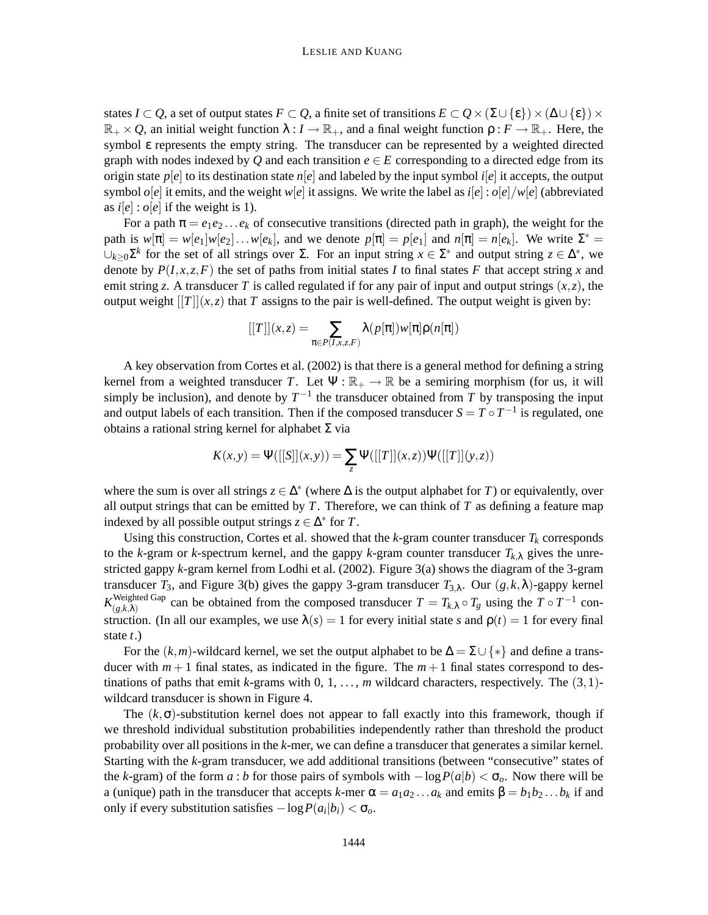states *I* ⊂ *Q*, a set of output states  $F \subset Q$ , a finite set of transitions  $E \subset Q \times (\Sigma \cup \{\epsilon\}) \times (\Delta \cup \{\epsilon\}) \times$  $\mathbb{R}_+ \times Q$ , an initial weight function  $\lambda : I \to \mathbb{R}_+$ , and a final weight function  $\rho : F \to \mathbb{R}_+$ . Here, the symbol ε represents the empty string. The transducer can be represented by a weighted directed graph with nodes indexed by *Q* and each transition  $e \in E$  corresponding to a directed edge from its origin state  $p[e]$  to its destination state  $n[e]$  and labeled by the input symbol  $i[e]$  it accepts, the output symbol *o*[*e*] it emits, and the weight *w*[*e*] it assigns. We write the label as *i*[*e*] : *o*[*e*]/*w*[*e*] (abbreviated as  $i[e]$ :  $o[e]$  if the weight is 1).

For a path  $\pi = e_1e_2 \dots e_k$  of consecutive transitions (directed path in graph), the weight for the path is  $w[\pi] = w[e_1]w[e_2] \dots w[e_k]$ , and we denote  $p[\pi] = p[e_1]$  and  $n[\pi] = n[e_k]$ . We write  $\Sigma^* =$  $\cup_{k\geq 0}$ Σ<sup>*k*</sup> for the set of all strings over Σ. For an input string *x* ∈ Σ<sup>\*</sup> and output string *z* ∈ Δ<sup>\*</sup>, we denote by  $P(I, x, z, F)$  the set of paths from initial states *I* to final states *F* that accept string *x* and emit string *z*. A transducer *T* is called regulated if for any pair of input and output strings  $(x, z)$ , the output weight  $[[T]](x, z)$  that *T* assigns to the pair is well-defined. The output weight is given by:

$$
[[T]](x,z) = \sum_{\pi \in P(I,x,z,F)} \lambda(p[\pi]) w[\pi] p(n[\pi])
$$

A key observation from Cortes et al. (2002) is that there is a general method for defining a string kernel from a weighted transducer *T*. Let  $\Psi : \mathbb{R}_+ \to \mathbb{R}$  be a semiring morphism (for us, it will simply be inclusion), and denote by  $T^{-1}$  the transducer obtained from *T* by transposing the input and output labels of each transition. Then if the composed transducer  $S = T \circ T^{-1}$  is regulated, one obtains a rational string kernel for alphabet  $\Sigma$  via

$$
K(x,y) = \Psi([[S]](x,y)) = \sum_{z} \Psi([[T]](x,z)) \Psi([[T]](y,z))
$$

where the sum is over all strings  $z \in \Delta^*$  (where  $\Delta$  is the output alphabet for *T*) or equivalently, over all output strings that can be emitted by *T*. Therefore, we can think of *T* as defining a feature map indexed by all possible output strings  $z \in \Delta^*$  for *T*.

Using this construction, Cortes et al. showed that the  $k$ -gram counter transducer  $T_k$  corresponds to the *k*-gram or *k*-spectrum kernel, and the gappy *k*-gram counter transducer  $T_{k\lambda}$  gives the unrestricted gappy *k*-gram kernel from Lodhi et al. (2002). Figure 3(a) shows the diagram of the 3-gram transducer  $T_3$ , and Figure 3(b) gives the gappy 3-gram transducer  $T_{3,\lambda}$ . Our  $(g, k, \lambda)$ -gappy kernel  $K_{(a,k,\lambda)}^{\text{Weighted Gap}}$ Weighted Gap can be obtained from the composed transducer  $T = T_{k,\lambda} \circ T_g$  using the  $T \circ T^{-1}$  con-<br>(g,k,λ) struction. (In all our examples, we use  $\lambda(s) = 1$  for every initial state *s* and  $\rho(t) = 1$  for every final state *t*.)

For the  $(k,m)$ -wildcard kernel, we set the output alphabet to be  $\Delta = \Sigma \cup \{*\}$  and define a transducer with  $m+1$  final states, as indicated in the figure. The  $m+1$  final states correspond to destinations of paths that emit *k*-grams with  $0, 1, \ldots, m$  wildcard characters, respectively. The  $(3,1)$ wildcard transducer is shown in Figure 4.

The  $(k, \sigma)$ -substitution kernel does not appear to fall exactly into this framework, though if we threshold individual substitution probabilities independently rather than threshold the product probability over all positions in the *k*-mer, we can define a transducer that generates a similar kernel. Starting with the *k*-gram transducer, we add additional transitions (between "consecutive" states of the *k*-gram) of the form *a* : *b* for those pairs of symbols with  $-\log P(a|b) < \sigma_o$ . Now there will be a (unique) path in the transducer that accepts  $k$ -mer  $\alpha = a_1 a_2 ... a_k$  and emits  $\beta = b_1 b_2 ... b_k$  if and only if every substitution satisfies  $-\log P(a_i|b_i) < \sigma_o$ .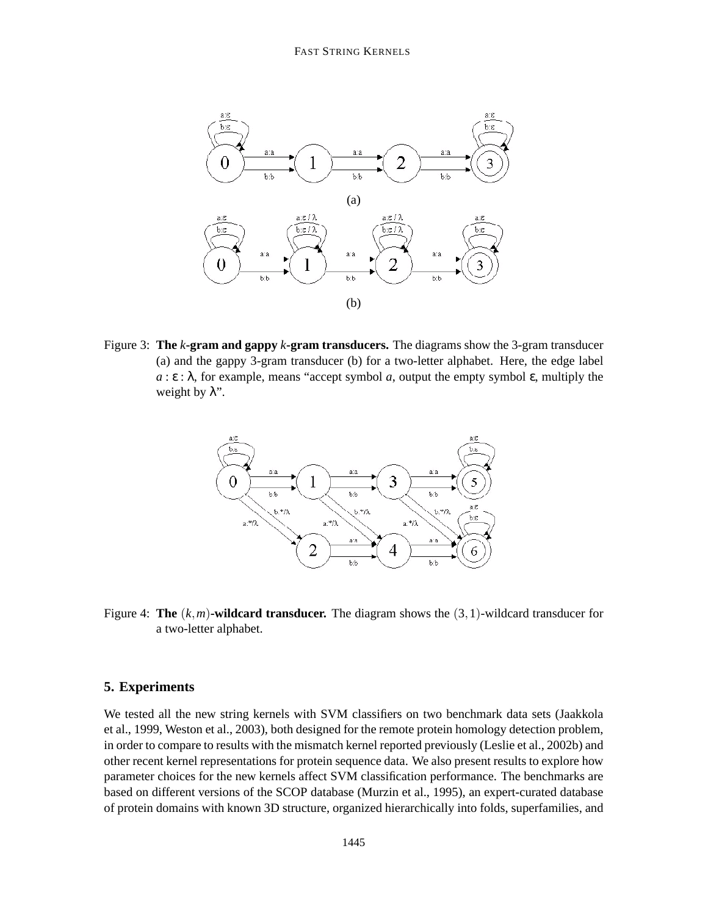

Figure 3: **The** *k***-gram and gappy** *k***-gram transducers.** The diagrams show the 3-gram transducer (a) and the gappy 3-gram transducer (b) for a two-letter alphabet. Here, the edge label  $a : \varepsilon : \lambda$ , for example, means "accept symbol *a*, output the empty symbol  $\varepsilon$ , multiply the weight by  $\lambda$ ".



Figure 4: **The**  $(k,m)$ **-wildcard transducer.** The diagram shows the  $(3,1)$ -wildcard transducer for a two-letter alphabet.

# **5. Experiments**

We tested all the new string kernels with SVM classifiers on two benchmark data sets (Jaakkola et al., 1999, Weston et al., 2003), both designed for the remote protein homology detection problem, in order to compare to results with the mismatch kernel reported previously (Leslie et al., 2002b) and other recent kernel representations for protein sequence data. We also present results to explore how parameter choices for the new kernels affect SVM classification performance. The benchmarks are based on different versions of the SCOP database (Murzin et al., 1995), an expert-curated database of protein domains with known 3D structure, organized hierarchically into folds, superfamilies, and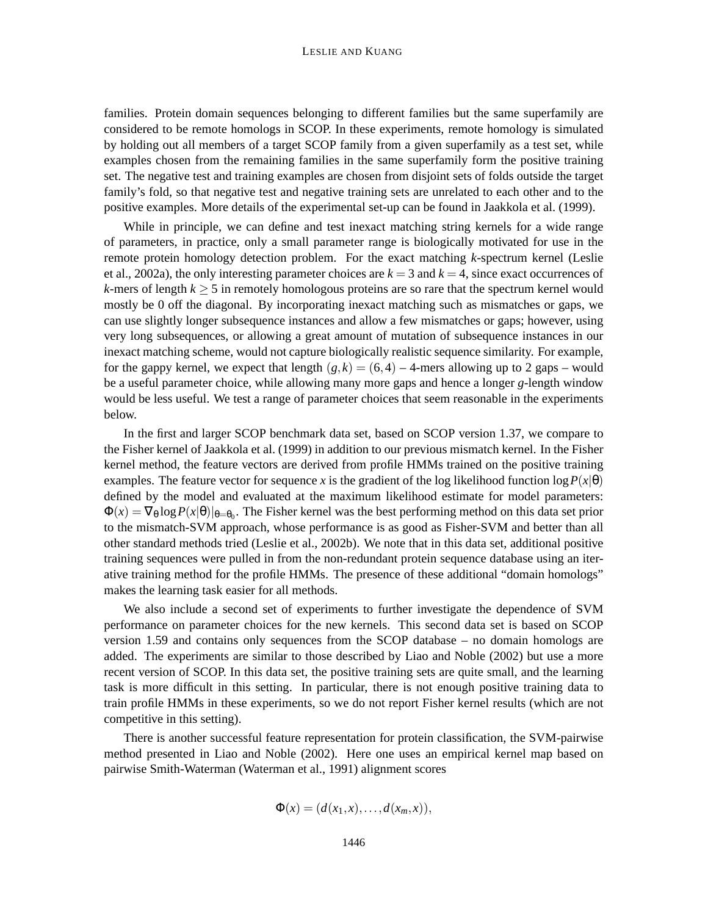#### LESLIE AND KUANG

families. Protein domain sequences belonging to different families but the same superfamily are considered to be remote homologs in SCOP. In these experiments, remote homology is simulated by holding out all members of a target SCOP family from a given superfamily as a test set, while examples chosen from the remaining families in the same superfamily form the positive training set. The negative test and training examples are chosen from disjoint sets of folds outside the target family's fold, so that negative test and negative training sets are unrelated to each other and to the positive examples. More details of the experimental set-up can be found in Jaakkola et al. (1999).

While in principle, we can define and test inexact matching string kernels for a wide range of parameters, in practice, only a small parameter range is biologically motivated for use in the remote protein homology detection problem. For the exact matching *k*-spectrum kernel (Leslie et al., 2002a), the only interesting parameter choices are  $k = 3$  and  $k = 4$ , since exact occurrences of *k*-mers of length  $k \geq 5$  in remotely homologous proteins are so rare that the spectrum kernel would mostly be 0 off the diagonal. By incorporating inexact matching such as mismatches or gaps, we can use slightly longer subsequence instances and allow a few mismatches or gaps; however, using very long subsequences, or allowing a great amount of mutation of subsequence instances in our inexact matching scheme, would not capture biologically realistic sequence similarity. For example, for the gappy kernel, we expect that length  $(g, k) = (6, 4) - 4$ -mers allowing up to 2 gaps – would be a useful parameter choice, while allowing many more gaps and hence a longer *g*-length window would be less useful. We test a range of parameter choices that seem reasonable in the experiments below.

In the first and larger SCOP benchmark data set, based on SCOP version 1.37, we compare to the Fisher kernel of Jaakkola et al. (1999) in addition to our previous mismatch kernel. In the Fisher kernel method, the feature vectors are derived from profile HMMs trained on the positive training examples. The feature vector for sequence *x* is the gradient of the log likelihood function  $\log P(x|\theta)$ defined by the model and evaluated at the maximum likelihood estimate for model parameters:  $\Phi(x) = \nabla_{\theta} \log P(x|\theta)|_{\theta=\theta_0}$ . The Fisher kernel was the best performing method on this data set prior to the mismatch-SVM approach, whose performance is as good as Fisher-SVM and better than all other standard methods tried (Leslie et al., 2002b). We note that in this data set, additional positive training sequences were pulled in from the non-redundant protein sequence database using an iterative training method for the profile HMMs. The presence of these additional "domain homologs" makes the learning task easier for all methods.

We also include a second set of experiments to further investigate the dependence of SVM performance on parameter choices for the new kernels. This second data set is based on SCOP version 1.59 and contains only sequences from the SCOP database – no domain homologs are added. The experiments are similar to those described by Liao and Noble (2002) but use a more recent version of SCOP. In this data set, the positive training sets are quite small, and the learning task is more difficult in this setting. In particular, there is not enough positive training data to train profile HMMs in these experiments, so we do not report Fisher kernel results (which are not competitive in this setting).

There is another successful feature representation for protein classification, the SVM-pairwise method presented in Liao and Noble (2002). Here one uses an empirical kernel map based on pairwise Smith-Waterman (Waterman et al., 1991) alignment scores

$$
\Phi(x)=(d(x_1,x),\ldots,d(x_m,x)),
$$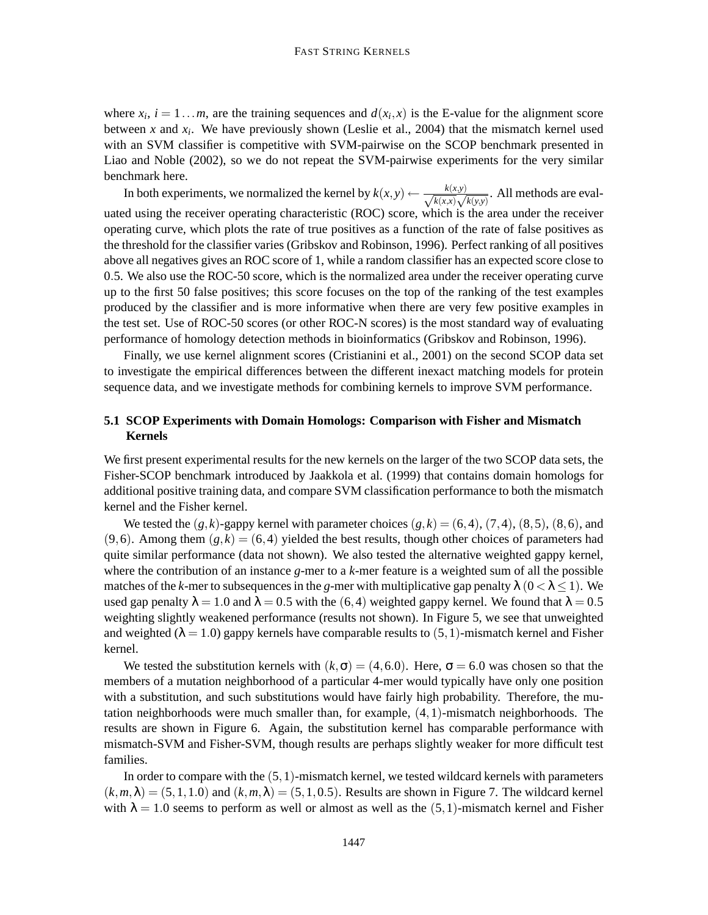where  $x_i$ ,  $i = 1...m$ , are the training sequences and  $d(x_i, x)$  is the E-value for the alignment score between *x* and *x<sup>i</sup>* . We have previously shown (Leslie et al., 2004) that the mismatch kernel used with an SVM classifier is competitive with SVM-pairwise on the SCOP benchmark presented in Liao and Noble (2002), so we do not repeat the SVM-pairwise experiments for the very similar benchmark here.

In both experiments, we normalized the kernel by  $k(x, y) \leftarrow \frac{k(x, y)}{\sqrt{k(x, x)}\sqrt{k(x, y)}}$  $\frac{k(x,y)}{k(x,x)\sqrt{k(y,y)}}$ . All methods are evaluated using the receiver operating characteristic (ROC) score, which is the area under the receiver operating curve, which plots the rate of true positives as a function of the rate of false positives as the threshold for the classifier varies (Gribskov and Robinson, 1996). Perfect ranking of all positives above all negatives gives an ROC score of 1, while a random classifier has an expected score close to 0.5. We also use the ROC-50 score, which is the normalized area under the receiver operating curve up to the first 50 false positives; this score focuses on the top of the ranking of the test examples produced by the classifier and is more informative when there are very few positive examples in the test set. Use of ROC-50 scores (or other ROC-N scores) is the most standard way of evaluating performance of homology detection methods in bioinformatics (Gribskov and Robinson, 1996).

Finally, we use kernel alignment scores (Cristianini et al., 2001) on the second SCOP data set to investigate the empirical differences between the different inexact matching models for protein sequence data, and we investigate methods for combining kernels to improve SVM performance.

# **5.1 SCOP Experiments with Domain Homologs: Comparison with Fisher and Mismatch Kernels**

We first present experimental results for the new kernels on the larger of the two SCOP data sets, the Fisher-SCOP benchmark introduced by Jaakkola et al. (1999) that contains domain homologs for additional positive training data, and compare SVM classification performance to both the mismatch kernel and the Fisher kernel.

We tested the  $(g, k)$ -gappy kernel with parameter choices  $(g, k) = (6, 4)$ ,  $(7, 4)$ ,  $(8, 5)$ ,  $(8, 6)$ , and  $(9,6)$ . Among them  $(g,k) = (6,4)$  yielded the best results, though other choices of parameters had quite similar performance (data not shown). We also tested the alternative weighted gappy kernel, where the contribution of an instance *g*-mer to a *k*-mer feature is a weighted sum of all the possible matches of the *k*-mer to subsequences in the *g*-mer with multiplicative gap penalty  $\lambda$  ( $0 < \lambda \le 1$ ). We used gap penalty  $\lambda = 1.0$  and  $\lambda = 0.5$  with the (6,4) weighted gappy kernel. We found that  $\lambda = 0.5$ weighting slightly weakened performance (results not shown). In Figure 5, we see that unweighted and weighted ( $\lambda = 1.0$ ) gappy kernels have comparable results to (5, 1)-mismatch kernel and Fisher kernel.

We tested the substitution kernels with  $(k, \sigma) = (4, 6.0)$ . Here,  $\sigma = 6.0$  was chosen so that the members of a mutation neighborhood of a particular 4-mer would typically have only one position with a substitution, and such substitutions would have fairly high probability. Therefore, the mutation neighborhoods were much smaller than, for example, (4,1)-mismatch neighborhoods. The results are shown in Figure 6. Again, the substitution kernel has comparable performance with mismatch-SVM and Fisher-SVM, though results are perhaps slightly weaker for more difficult test families.

In order to compare with the (5,1)-mismatch kernel, we tested wildcard kernels with parameters  $(k,m,\lambda) = (5,1,1.0)$  and  $(k,m,\lambda) = (5,1,0.5)$ . Results are shown in Figure 7. The wildcard kernel with  $\lambda = 1.0$  seems to perform as well or almost as well as the (5,1)-mismatch kernel and Fisher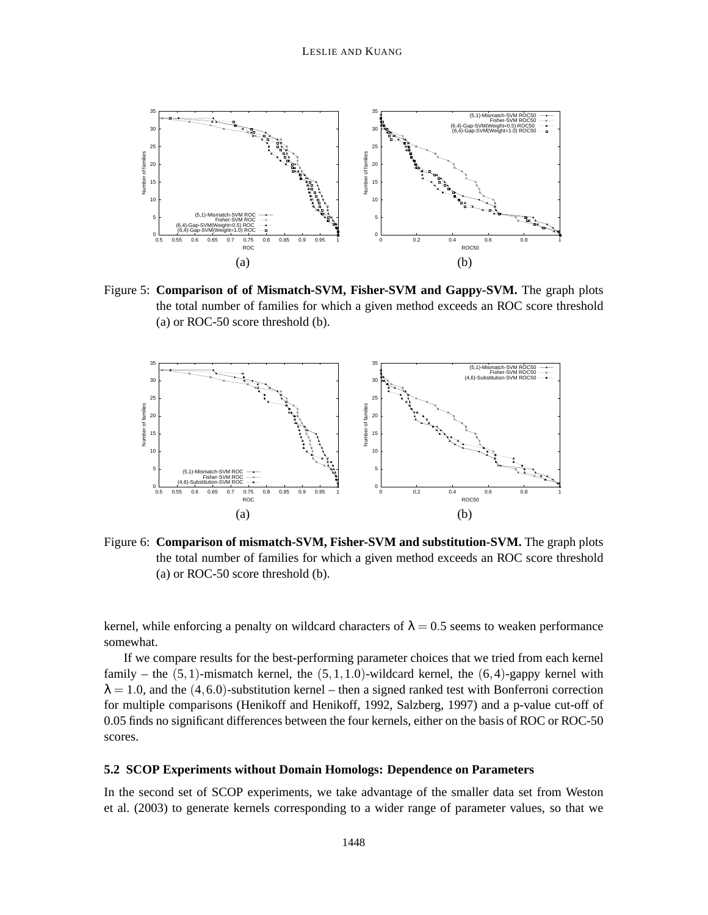

Figure 5: **Comparison of of Mismatch-SVM, Fisher-SVM and Gappy-SVM.** The graph plots the total number of families for which a given method exceeds an ROC score threshold (a) or ROC-50 score threshold (b).



Figure 6: **Comparison of mismatch-SVM, Fisher-SVM and substitution-SVM.** The graph plots the total number of families for which a given method exceeds an ROC score threshold (a) or ROC-50 score threshold (b).

kernel, while enforcing a penalty on wildcard characters of  $\lambda = 0.5$  seems to weaken performance somewhat.

If we compare results for the best-performing parameter choices that we tried from each kernel family – the  $(5,1)$ -mismatch kernel, the  $(5,1,1.0)$ -wildcard kernel, the  $(6,4)$ -gappy kernel with  $\lambda = 1.0$ , and the (4,6.0)-substitution kernel – then a signed ranked test with Bonferroni correction for multiple comparisons (Henikoff and Henikoff, 1992, Salzberg, 1997) and a p-value cut-off of 0.05 finds no significant differences between the four kernels, either on the basis of ROC or ROC-50 scores.

# **5.2 SCOP Experiments without Domain Homologs: Dependence on Parameters**

In the second set of SCOP experiments, we take advantage of the smaller data set from Weston et al. (2003) to generate kernels corresponding to a wider range of parameter values, so that we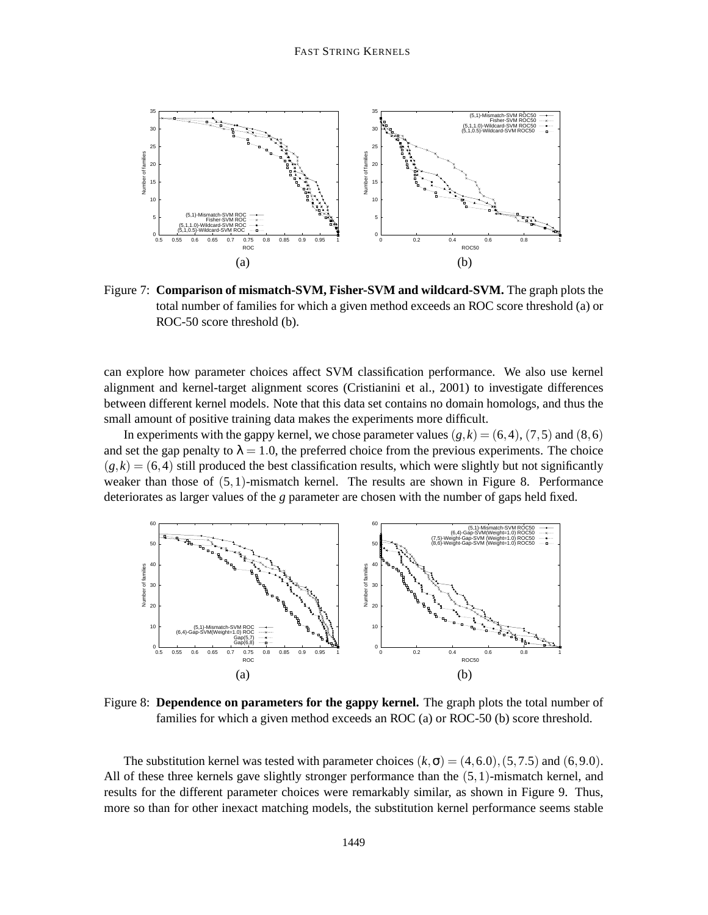

Figure 7: **Comparison of mismatch-SVM, Fisher-SVM and wildcard-SVM.** The graph plots the total number of families for which a given method exceeds an ROC score threshold (a) or ROC-50 score threshold (b).

can explore how parameter choices affect SVM classification performance. We also use kernel alignment and kernel-target alignment scores (Cristianini et al., 2001) to investigate differences between different kernel models. Note that this data set contains no domain homologs, and thus the small amount of positive training data makes the experiments more difficult.

In experiments with the gappy kernel, we chose parameter values  $(g, k) = (6, 4)$ ,  $(7, 5)$  and  $(8, 6)$ and set the gap penalty to  $\lambda = 1.0$ , the preferred choice from the previous experiments. The choice  $(g, k) = (6, 4)$  still produced the best classification results, which were slightly but not significantly weaker than those of (5,1)-mismatch kernel. The results are shown in Figure 8. Performance deteriorates as larger values of the *g* parameter are chosen with the number of gaps held fixed.



Figure 8: **Dependence on parameters for the gappy kernel.** The graph plots the total number of families for which a given method exceeds an ROC (a) or ROC-50 (b) score threshold.

The substitution kernel was tested with parameter choices  $(k, \sigma) = (4, 6.0), (5, 7.5)$  and  $(6, 9.0)$ . All of these three kernels gave slightly stronger performance than the (5,1)-mismatch kernel, and results for the different parameter choices were remarkably similar, as shown in Figure 9. Thus, more so than for other inexact matching models, the substitution kernel performance seems stable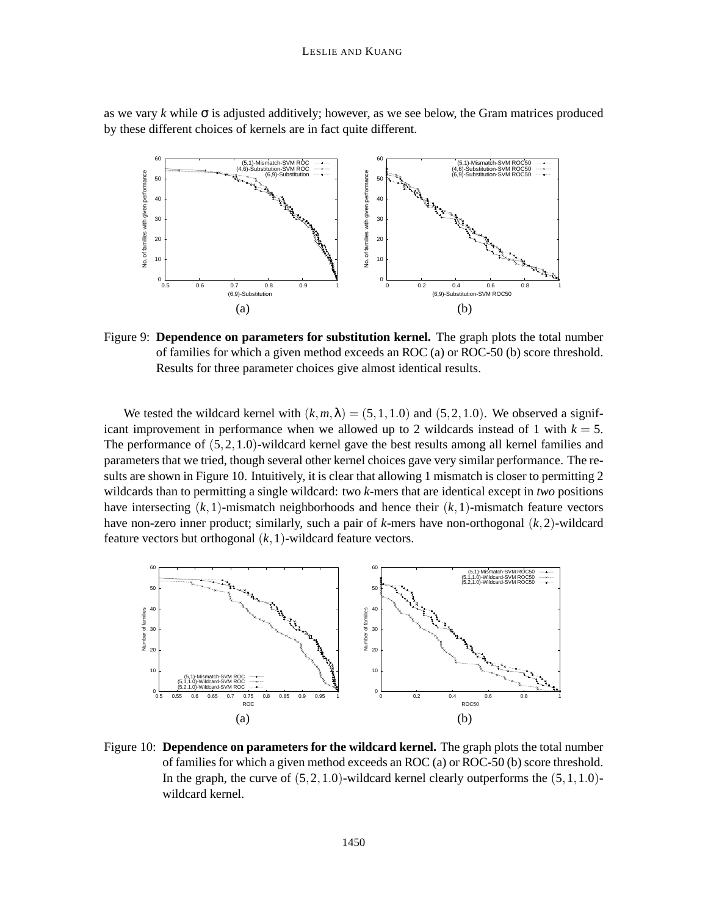as we vary  $k$  while  $\sigma$  is adjusted additively; however, as we see below, the Gram matrices produced by these different choices of kernels are in fact quite different.



Figure 9: **Dependence on parameters for substitution kernel.** The graph plots the total number of families for which a given method exceeds an ROC (a) or ROC-50 (b) score threshold. Results for three parameter choices give almost identical results.

We tested the wildcard kernel with  $(k,m,\lambda) = (5,1,1.0)$  and  $(5,2,1.0)$ . We observed a significant improvement in performance when we allowed up to 2 wildcards instead of 1 with  $k = 5$ . The performance of (5,2,1.0)-wildcard kernel gave the best results among all kernel families and parameters that we tried, though several other kernel choices gave very similar performance. The results are shown in Figure 10. Intuitively, it is clear that allowing 1 mismatch is closer to permitting 2 wildcards than to permitting a single wildcard: two *k*-mers that are identical except in *two* positions have intersecting (*k*,1)-mismatch neighborhoods and hence their (*k*,1)-mismatch feature vectors have non-zero inner product; similarly, such a pair of *k*-mers have non-orthogonal (*k*,2)-wildcard feature vectors but orthogonal  $(k,1)$ -wildcard feature vectors.



Figure 10: **Dependence on parameters for the wildcard kernel.** The graph plots the total number of families for which a given method exceeds an ROC (a) or ROC-50 (b) score threshold. In the graph, the curve of  $(5,2,1.0)$ -wildcard kernel clearly outperforms the  $(5,1,1.0)$ wildcard kernel.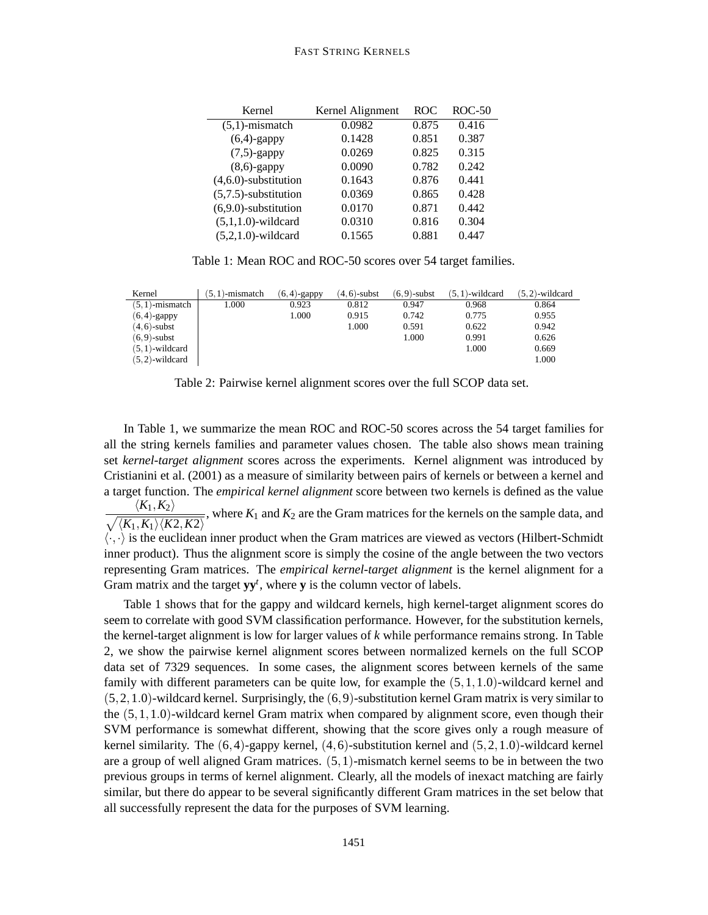## FAST STRING KERNELS

| Kernel                  | Kernel Alignment | <b>ROC</b> | $ROC-50$ |
|-------------------------|------------------|------------|----------|
| $(5,1)$ -mismatch       | 0.0982           | 0.875      | 0.416    |
| $(6,4)$ -gappy          | 0.1428           | 0.851      | 0.387    |
| $(7,5)$ -gappy          | 0.0269           | 0.825      | 0.315    |
| $(8,6)$ -gappy          | 0.0090           | 0.782      | 0.242    |
| $(4,6.0)$ -substitution | 0.1643           | 0.876      | 0.441    |
| $(5,7.5)$ -substitution | 0.0369           | 0.865      | 0.428    |
| $(6,9.0)$ -substitution | 0.0170           | 0.871      | 0.442    |
| $(5,1,1.0)$ -wildcard   | 0.0310           | 0.816      | 0.304    |
| $(5,2,1.0)$ -wildcard   | 0.1565           | 0.881      | 0.447    |

Table 1: Mean ROC and ROC-50 scores over 54 target families.

| Kernel             | $(5.1)$ -mismatch | $(6,4)$ -gappy | $(4.6)$ -subst | $(6.9)$ -subst | $(5.1)$ -wildcard | $(5.2)$ -wildcard |
|--------------------|-------------------|----------------|----------------|----------------|-------------------|-------------------|
| $(5,1)$ -mismatch  | 1.000             | 0.923          | 0.812          | 0.947          | 0.968             | 0.864             |
| $(6,4)$ -gappy     |                   | 1.000          | 0.915          | 0.742          | 0.775             | 0.955             |
| $(4, 6)$ -subst    |                   |                | 1.000          | 0.591          | 0.622             | 0.942             |
| $(6, 9)$ -subst    |                   |                |                | 1.000          | 0.991             | 0.626             |
| $(5,1)$ -wildcard  |                   |                |                |                | 1.000             | 0.669             |
| $(5, 2)$ -wildcard |                   |                |                |                |                   | 1.000             |

Table 2: Pairwise kernel alignment scores over the full SCOP data set.

In Table 1, we summarize the mean ROC and ROC-50 scores across the 54 target families for all the string kernels families and parameter values chosen. The table also shows mean training set *kernel-target alignment* scores across the experiments. Kernel alignment was introduced by Cristianini et al. (2001) as a measure of similarity between pairs of kernels or between a kernel and a target function. The *empirical kernel alignment* score between two kernels is defined as the value

 $\langle K_1, K_2 \rangle$  $\sqrt{\langle K_1, K_1 \rangle \langle K2, K2 \rangle}$ , where  $K_1$  and  $K_2$  are the Gram matrices for the kernels on the sample data, and

 $\langle \cdot, \cdot \rangle$  is the euclidean inner product when the Gram matrices are viewed as vectors (Hilbert-Schmidt inner product). Thus the alignment score is simply the cosine of the angle between the two vectors representing Gram matrices. The *empirical kernel-target alignment* is the kernel alignment for a Gram matrix and the target  $yy<sup>t</sup>$ , where  $y$  is the column vector of labels.

Table 1 shows that for the gappy and wildcard kernels, high kernel-target alignment scores do seem to correlate with good SVM classification performance. However, for the substitution kernels, the kernel-target alignment is low for larger values of *k* while performance remains strong. In Table 2, we show the pairwise kernel alignment scores between normalized kernels on the full SCOP data set of 7329 sequences. In some cases, the alignment scores between kernels of the same family with different parameters can be quite low, for example the  $(5,1,1.0)$ -wildcard kernel and  $(5,2,1.0)$ -wildcard kernel. Surprisingly, the  $(6,9)$ -substitution kernel Gram matrix is very similar to the (5,1,1.0)-wildcard kernel Gram matrix when compared by alignment score, even though their SVM performance is somewhat different, showing that the score gives only a rough measure of kernel similarity. The  $(6,4)$ -gappy kernel,  $(4,6)$ -substitution kernel and  $(5,2,1.0)$ -wildcard kernel are a group of well aligned Gram matrices.  $(5,1)$ -mismatch kernel seems to be in between the two previous groups in terms of kernel alignment. Clearly, all the models of inexact matching are fairly similar, but there do appear to be several significantly different Gram matrices in the set below that all successfully represent the data for the purposes of SVM learning.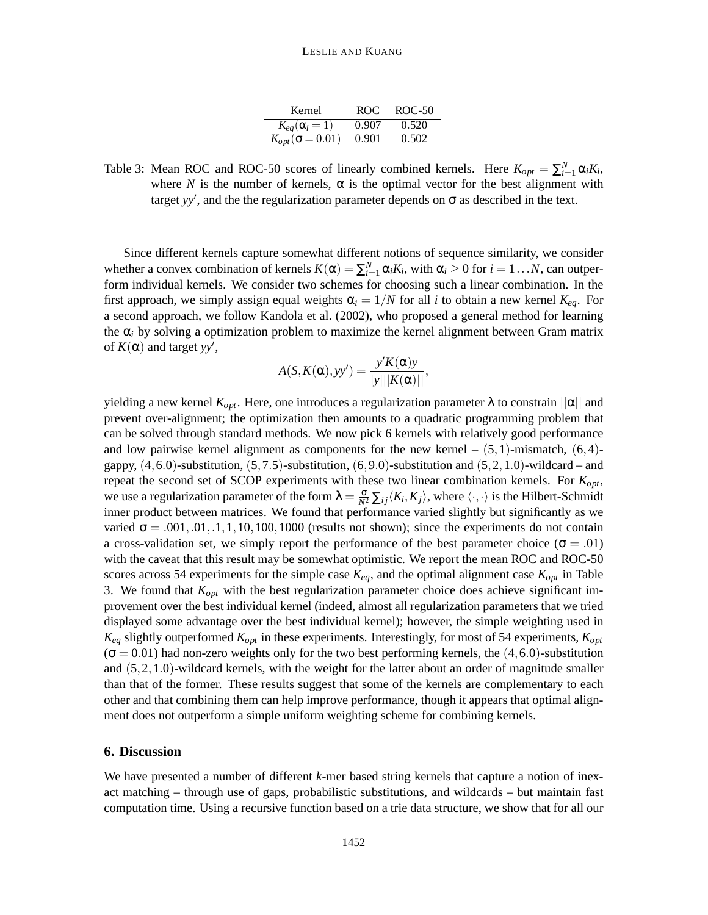| Kernel                   |       | ROC ROC-50 |
|--------------------------|-------|------------|
| $K_{eq}(\alpha_i=1)$     | 0.907 | 0.520      |
| $K_{opt}(\sigma = 0.01)$ | 0.901 | 0.502      |

Table 3: Mean ROC and ROC-50 scores of linearly combined kernels. Here  $K_{opt} = \sum_{i=1}^{N} \alpha_i K_i$ , where *N* is the number of kernels,  $\alpha$  is the optimal vector for the best alignment with target  $yy'$ , and the the regularization parameter depends on  $\sigma$  as described in the text.

Since different kernels capture somewhat different notions of sequence similarity, we consider whether a convex combination of kernels  $K(\alpha) = \sum_{i=1}^{N} \alpha_i K_i$ , with  $\alpha_i \ge 0$  for  $i = 1...N$ , can outperform individual kernels. We consider two schemes for choosing such a linear combination. In the first approach, we simply assign equal weights  $\alpha_i = 1/N$  for all *i* to obtain a new kernel  $K_{eq}$ . For a second approach, we follow Kandola et al. (2002), who proposed a general method for learning the  $\alpha_i$  by solving a optimization problem to maximize the kernel alignment between Gram matrix of  $K(\alpha)$  and target *yy'*,

$$
A(S, K(\alpha), yy') = \frac{y'K(\alpha)y}{|y|||K(\alpha)||},
$$

yielding a new kernel  $K_{opt}$ . Here, one introduces a regularization parameter  $\lambda$  to constrain  $||\alpha||$  and prevent over-alignment; the optimization then amounts to a quadratic programming problem that can be solved through standard methods. We now pick 6 kernels with relatively good performance and low pairwise kernel alignment as components for the new kernel  $-$  (5,1)-mismatch, (6,4)gappy,  $(4,6.0)$ -substitution,  $(5,7.5)$ -substitution,  $(6,9.0)$ -substitution and  $(5,2,1.0)$ -wildcard – and repeat the second set of SCOP experiments with these two linear combination kernels. For *Kopt*, we use a regularization parameter of the form  $\lambda = \frac{\sigma}{N^2} \sum_{i,j} \langle K_i, K_j \rangle$ , where  $\langle \cdot, \cdot \rangle$  is the Hilbert-Schmidt inner product between matrices. We found that performance varied slightly but significantly as we varied  $\sigma = .001, .01, .1, 1, 10, 100, 1000$  (results not shown); since the experiments do not contain a cross-validation set, we simply report the performance of the best parameter choice ( $\sigma = .01$ ) with the caveat that this result may be somewhat optimistic. We report the mean ROC and ROC-50 scores across 54 experiments for the simple case  $K_{eq}$ , and the optimal alignment case  $K_{opt}$  in Table 3. We found that *Kopt* with the best regularization parameter choice does achieve significant improvement over the best individual kernel (indeed, almost all regularization parameters that we tried displayed some advantage over the best individual kernel); however, the simple weighting used in  $K_{eq}$  slightly outperformed  $K_{opt}$  in these experiments. Interestingly, for most of 54 experiments,  $K_{opt}$  $(\sigma = 0.01)$  had non-zero weights only for the two best performing kernels, the (4,6.0)-substitution and (5,2,1.0)-wildcard kernels, with the weight for the latter about an order of magnitude smaller than that of the former. These results suggest that some of the kernels are complementary to each other and that combining them can help improve performance, though it appears that optimal alignment does not outperform a simple uniform weighting scheme for combining kernels.

### **6. Discussion**

We have presented a number of different *k*-mer based string kernels that capture a notion of inexact matching – through use of gaps, probabilistic substitutions, and wildcards – but maintain fast computation time. Using a recursive function based on a trie data structure, we show that for all our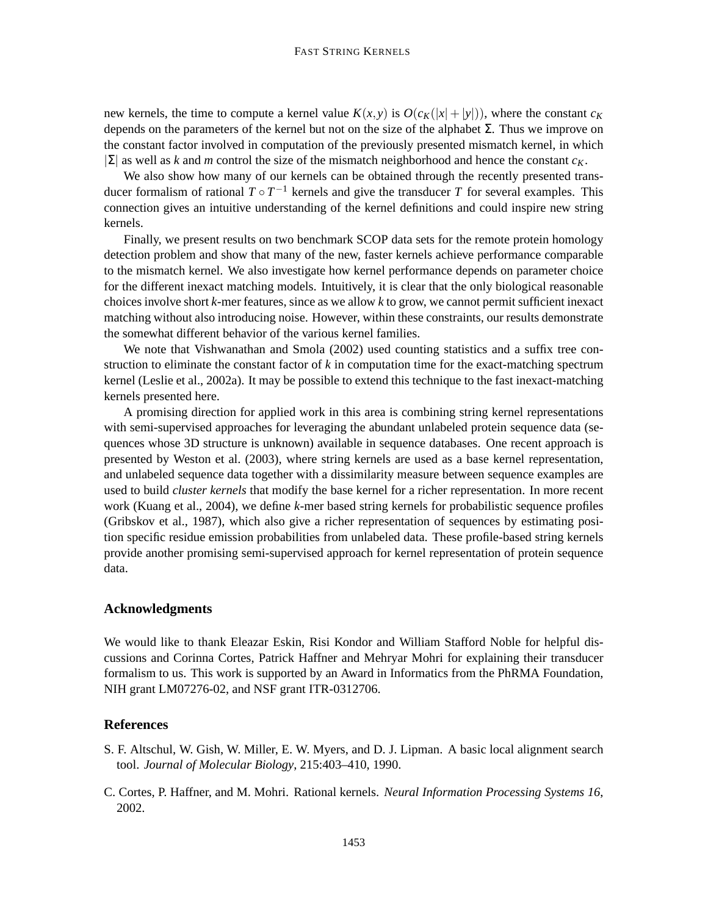new kernels, the time to compute a kernel value  $K(x, y)$  is  $O(c_K(|x| + |y|))$ , where the constant  $c_K$ depends on the parameters of the kernel but not on the size of the alphabet  $\Sigma$ . Thus we improve on the constant factor involved in computation of the previously presented mismatch kernel, in which  $|\Sigma|$  as well as *k* and *m* control the size of the mismatch neighborhood and hence the constant  $c_K$ .

We also show how many of our kernels can be obtained through the recently presented transducer formalism of rational  $T \circ T^{-1}$  kernels and give the transducer *T* for several examples. This connection gives an intuitive understanding of the kernel definitions and could inspire new string kernels.

Finally, we present results on two benchmark SCOP data sets for the remote protein homology detection problem and show that many of the new, faster kernels achieve performance comparable to the mismatch kernel. We also investigate how kernel performance depends on parameter choice for the different inexact matching models. Intuitively, it is clear that the only biological reasonable choices involve short *k*-mer features, since as we allow *k* to grow, we cannot permit sufficient inexact matching without also introducing noise. However, within these constraints, our results demonstrate the somewhat different behavior of the various kernel families.

We note that Vishwanathan and Smola (2002) used counting statistics and a suffix tree construction to eliminate the constant factor of *k* in computation time for the exact-matching spectrum kernel (Leslie et al., 2002a). It may be possible to extend this technique to the fast inexact-matching kernels presented here.

A promising direction for applied work in this area is combining string kernel representations with semi-supervised approaches for leveraging the abundant unlabeled protein sequence data (sequences whose 3D structure is unknown) available in sequence databases. One recent approach is presented by Weston et al. (2003), where string kernels are used as a base kernel representation, and unlabeled sequence data together with a dissimilarity measure between sequence examples are used to build *cluster kernels* that modify the base kernel for a richer representation. In more recent work (Kuang et al., 2004), we define *k*-mer based string kernels for probabilistic sequence profiles (Gribskov et al., 1987), which also give a richer representation of sequences by estimating position specific residue emission probabilities from unlabeled data. These profile-based string kernels provide another promising semi-supervised approach for kernel representation of protein sequence data.

# **Acknowledgments**

We would like to thank Eleazar Eskin, Risi Kondor and William Stafford Noble for helpful discussions and Corinna Cortes, Patrick Haffner and Mehryar Mohri for explaining their transducer formalism to us. This work is supported by an Award in Informatics from the PhRMA Foundation, NIH grant LM07276-02, and NSF grant ITR-0312706.

# **References**

- S. F. Altschul, W. Gish, W. Miller, E. W. Myers, and D. J. Lipman. A basic local alignment search tool. *Journal of Molecular Biology*, 215:403–410, 1990.
- C. Cortes, P. Haffner, and M. Mohri. Rational kernels. *Neural Information Processing Systems 16*, 2002.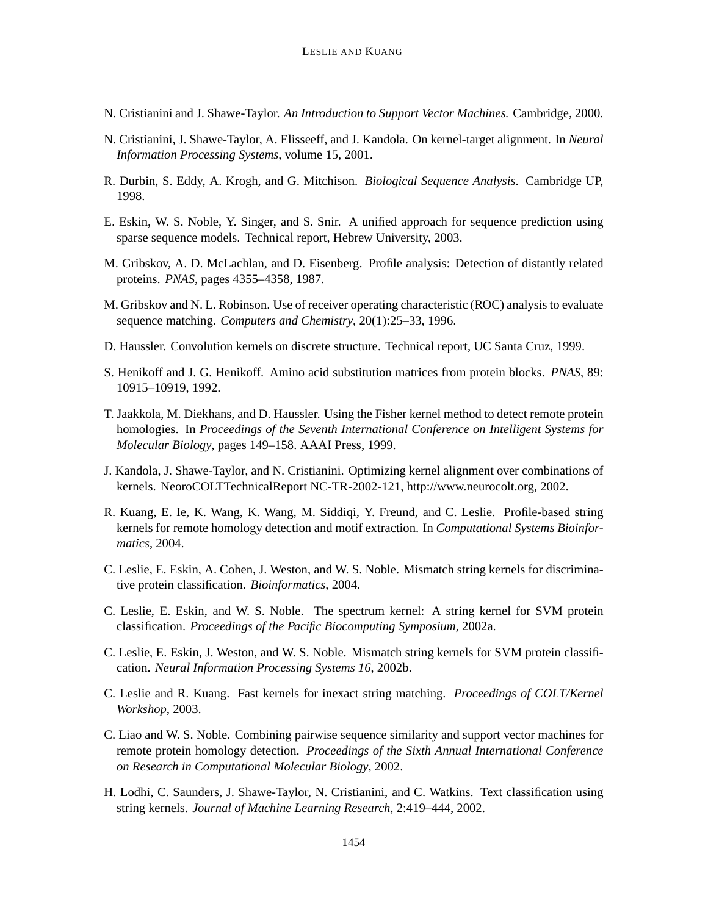- N. Cristianini and J. Shawe-Taylor. *An Introduction to Support Vector Machines.* Cambridge, 2000.
- N. Cristianini, J. Shawe-Taylor, A. Elisseeff, and J. Kandola. On kernel-target alignment. In *Neural Information Processing Systems*, volume 15, 2001.
- R. Durbin, S. Eddy, A. Krogh, and G. Mitchison. *Biological Sequence Analysis*. Cambridge UP, 1998.
- E. Eskin, W. S. Noble, Y. Singer, and S. Snir. A unified approach for sequence prediction using sparse sequence models. Technical report, Hebrew University, 2003.
- M. Gribskov, A. D. McLachlan, and D. Eisenberg. Profile analysis: Detection of distantly related proteins. *PNAS*, pages 4355–4358, 1987.
- M. Gribskov and N. L. Robinson. Use of receiver operating characteristic (ROC) analysis to evaluate sequence matching. *Computers and Chemistry*, 20(1):25–33, 1996.
- D. Haussler. Convolution kernels on discrete structure. Technical report, UC Santa Cruz, 1999.
- S. Henikoff and J. G. Henikoff. Amino acid substitution matrices from protein blocks. *PNAS*, 89: 10915–10919, 1992.
- T. Jaakkola, M. Diekhans, and D. Haussler. Using the Fisher kernel method to detect remote protein homologies. In *Proceedings of the Seventh International Conference on Intelligent Systems for Molecular Biology*, pages 149–158. AAAI Press, 1999.
- J. Kandola, J. Shawe-Taylor, and N. Cristianini. Optimizing kernel alignment over combinations of kernels. NeoroCOLTTechnicalReport NC-TR-2002-121, http://www.neurocolt.org, 2002.
- R. Kuang, E. Ie, K. Wang, K. Wang, M. Siddiqi, Y. Freund, and C. Leslie. Profile-based string kernels for remote homology detection and motif extraction. In *Computational Systems Bioinformatics*, 2004.
- C. Leslie, E. Eskin, A. Cohen, J. Weston, and W. S. Noble. Mismatch string kernels for discriminative protein classification. *Bioinformatics*, 2004.
- C. Leslie, E. Eskin, and W. S. Noble. The spectrum kernel: A string kernel for SVM protein classification. *Proceedings of the Pacific Biocomputing Symposium*, 2002a.
- C. Leslie, E. Eskin, J. Weston, and W. S. Noble. Mismatch string kernels for SVM protein classification. *Neural Information Processing Systems 16*, 2002b.
- C. Leslie and R. Kuang. Fast kernels for inexact string matching. *Proceedings of COLT/Kernel Workshop*, 2003.
- C. Liao and W. S. Noble. Combining pairwise sequence similarity and support vector machines for remote protein homology detection. *Proceedings of the Sixth Annual International Conference on Research in Computational Molecular Biology*, 2002.
- H. Lodhi, C. Saunders, J. Shawe-Taylor, N. Cristianini, and C. Watkins. Text classification using string kernels. *Journal of Machine Learning Research*, 2:419–444, 2002.